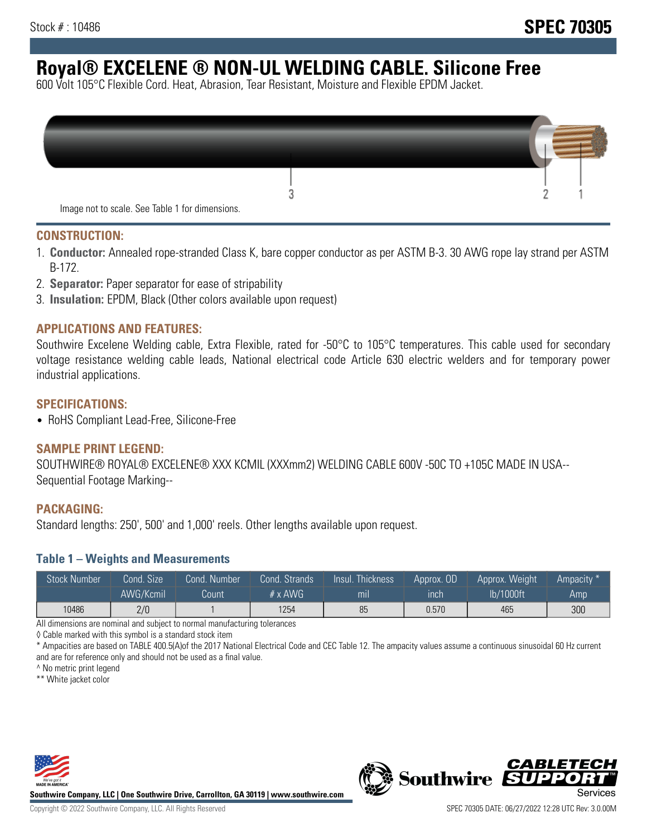# **Royal® EXCELENE ® NON-UL WELDING CABLE. Silicone Free**

600 Volt 105°C Flexible Cord. Heat, Abrasion, Tear Resistant, Moisture and Flexible EPDM Jacket.

| Image not to scale. See Table 1 for dimensions. |  |
|-------------------------------------------------|--|

#### **CONSTRUCTION:**

- 1. **Conductor:** Annealed rope-stranded Class K, bare copper conductor as per ASTM B-3. 30 AWG rope lay strand per ASTM B-172.
- 2. **Separator:** Paper separator for ease of stripability
- 3. **Insulation:** EPDM, Black (Other colors available upon request)

### **APPLICATIONS AND FEATURES:**

Southwire Excelene Welding cable, Extra Flexible, rated for -50°C to 105°C temperatures. This cable used for secondary voltage resistance welding cable leads, National electrical code Article 630 electric welders and for temporary power industrial applications.

#### **SPECIFICATIONS:**

• RoHS Compliant Lead-Free, Silicone-Free

#### **SAMPLE PRINT LEGEND:**

SOUTHWIRE® ROYAL® EXCELENE® XXX KCMIL (XXXmm2) WELDING CABLE 600V -50C TO +105C MADE IN USA-- Sequential Footage Marking--

#### **PACKAGING:**

Standard lengths: 250', 500' and 1,000' reels. Other lengths available upon request.

#### **Table 1 – Weights and Measurements**

| <b>Stock Number</b> | Cond. Size' | Cond. Number | Cond. Strands  | Insul. Thickness | Approx. OD | Approx. Weight | "Ampacity" |
|---------------------|-------------|--------------|----------------|------------------|------------|----------------|------------|
|                     | AWG/Kcmil   | Count        | $# \times$ AWG | mıl              | ınch       | lb/1000ft      | Amp        |
| 10486               | 2/0         |              | 1254           | 85               | 0.570      | 465            | 300        |

All dimensions are nominal and subject to normal manufacturing tolerances

◊ Cable marked with this symbol is a standard stock item

\* Ampacities are based on TABLE 400.5(A)of the 2017 National Electrical Code and CEC Table 12. The ampacity values assume a continuous sinusoidal 60 Hz current and are for reference only and should not be used as a final value.

^ No metric print legend

\*\* White jacket color



**Southwire Company, LLC | One Southwire Drive, Carrollton, GA 30119 | www.southwire.com**